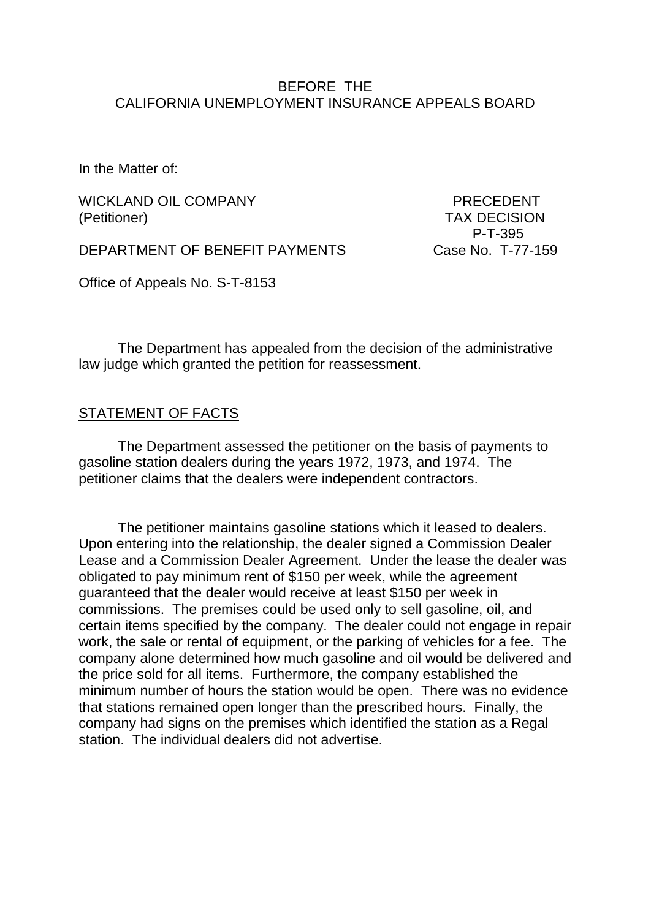#### BEFORE THE CALIFORNIA UNEMPLOYMENT INSURANCE APPEALS BOARD

In the Matter of:

WICKLAND OIL COMPANY **EXAMPLE AND STATE OF PRECEDENT** (Petitioner) TAX DECISION

DEPARTMENT OF BENEFIT PAYMENTS Case No. T-77-159

P-T-395

Office of Appeals No. S-T-8153

The Department has appealed from the decision of the administrative law judge which granted the petition for reassessment.

#### STATEMENT OF FACTS

The Department assessed the petitioner on the basis of payments to gasoline station dealers during the years 1972, 1973, and 1974. The petitioner claims that the dealers were independent contractors.

The petitioner maintains gasoline stations which it leased to dealers. Upon entering into the relationship, the dealer signed a Commission Dealer Lease and a Commission Dealer Agreement. Under the lease the dealer was obligated to pay minimum rent of \$150 per week, while the agreement guaranteed that the dealer would receive at least \$150 per week in commissions. The premises could be used only to sell gasoline, oil, and certain items specified by the company. The dealer could not engage in repair work, the sale or rental of equipment, or the parking of vehicles for a fee. The company alone determined how much gasoline and oil would be delivered and the price sold for all items. Furthermore, the company established the minimum number of hours the station would be open. There was no evidence that stations remained open longer than the prescribed hours. Finally, the company had signs on the premises which identified the station as a Regal station. The individual dealers did not advertise.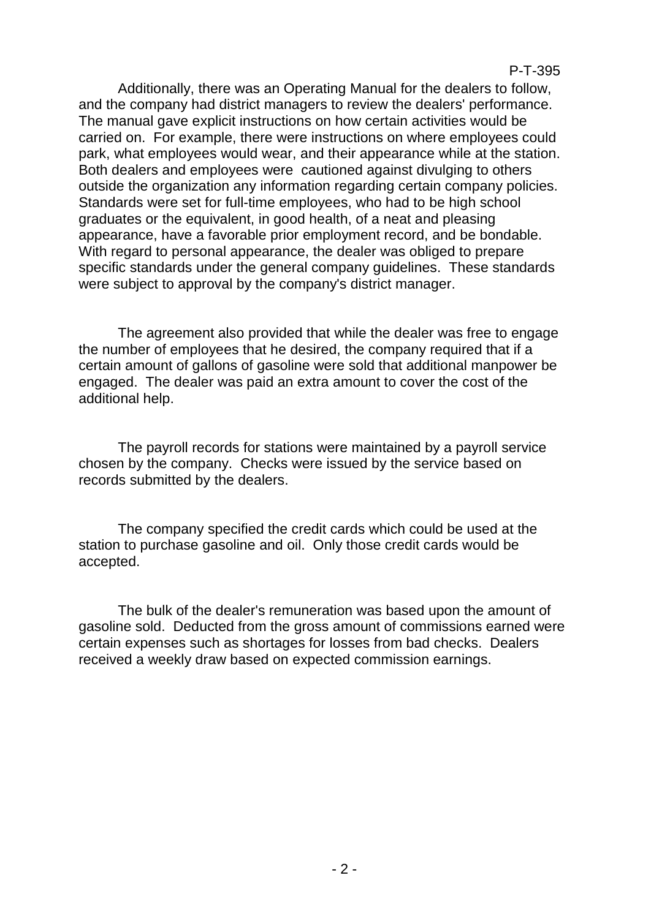Additionally, there was an Operating Manual for the dealers to follow, and the company had district managers to review the dealers' performance. The manual gave explicit instructions on how certain activities would be carried on. For example, there were instructions on where employees could park, what employees would wear, and their appearance while at the station. Both dealers and employees were cautioned against divulging to others outside the organization any information regarding certain company policies. Standards were set for full-time employees, who had to be high school graduates or the equivalent, in good health, of a neat and pleasing appearance, have a favorable prior employment record, and be bondable. With regard to personal appearance, the dealer was obliged to prepare specific standards under the general company guidelines. These standards were subject to approval by the company's district manager.

The agreement also provided that while the dealer was free to engage the number of employees that he desired, the company required that if a certain amount of gallons of gasoline were sold that additional manpower be engaged. The dealer was paid an extra amount to cover the cost of the additional help.

The payroll records for stations were maintained by a payroll service chosen by the company. Checks were issued by the service based on records submitted by the dealers.

The company specified the credit cards which could be used at the station to purchase gasoline and oil. Only those credit cards would be accepted.

The bulk of the dealer's remuneration was based upon the amount of gasoline sold. Deducted from the gross amount of commissions earned were certain expenses such as shortages for losses from bad checks. Dealers received a weekly draw based on expected commission earnings.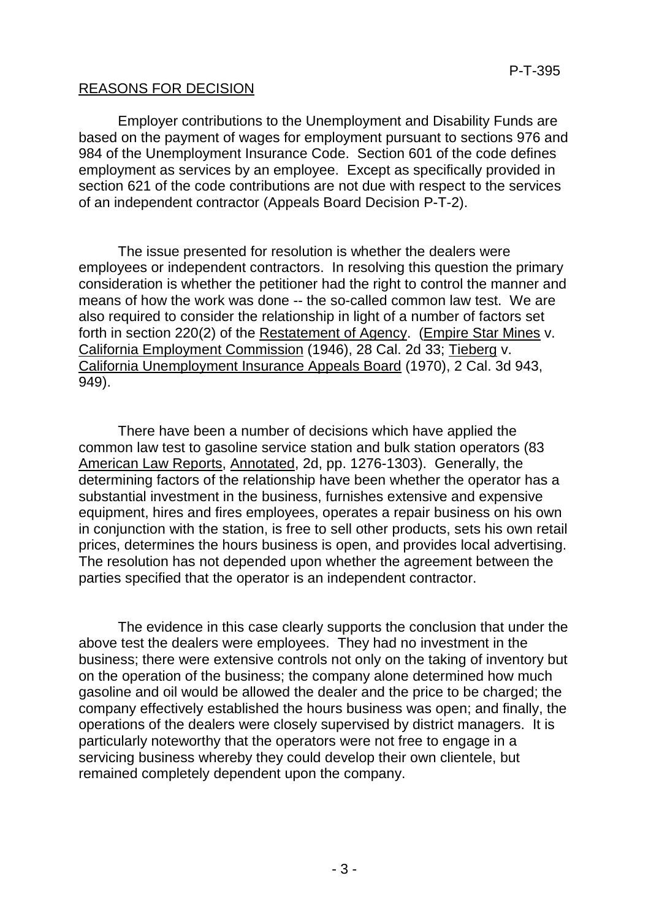## REASONS FOR DECISION

Employer contributions to the Unemployment and Disability Funds are based on the payment of wages for employment pursuant to sections 976 and 984 of the Unemployment Insurance Code. Section 601 of the code defines employment as services by an employee. Except as specifically provided in section 621 of the code contributions are not due with respect to the services of an independent contractor (Appeals Board Decision P-T-2).

The issue presented for resolution is whether the dealers were employees or independent contractors. In resolving this question the primary consideration is whether the petitioner had the right to control the manner and means of how the work was done -- the so-called common law test. We are also required to consider the relationship in light of a number of factors set forth in section 220(2) of the Restatement of Agency. (Empire Star Mines v. California Employment Commission (1946), 28 Cal. 2d 33; Tieberg v. California Unemployment Insurance Appeals Board (1970), 2 Cal. 3d 943, 949).

There have been a number of decisions which have applied the common law test to gasoline service station and bulk station operators (83 American Law Reports, Annotated, 2d, pp. 1276-1303). Generally, the determining factors of the relationship have been whether the operator has a substantial investment in the business, furnishes extensive and expensive equipment, hires and fires employees, operates a repair business on his own in conjunction with the station, is free to sell other products, sets his own retail prices, determines the hours business is open, and provides local advertising. The resolution has not depended upon whether the agreement between the parties specified that the operator is an independent contractor.

The evidence in this case clearly supports the conclusion that under the above test the dealers were employees. They had no investment in the business; there were extensive controls not only on the taking of inventory but on the operation of the business; the company alone determined how much gasoline and oil would be allowed the dealer and the price to be charged; the company effectively established the hours business was open; and finally, the operations of the dealers were closely supervised by district managers. It is particularly noteworthy that the operators were not free to engage in a servicing business whereby they could develop their own clientele, but remained completely dependent upon the company.